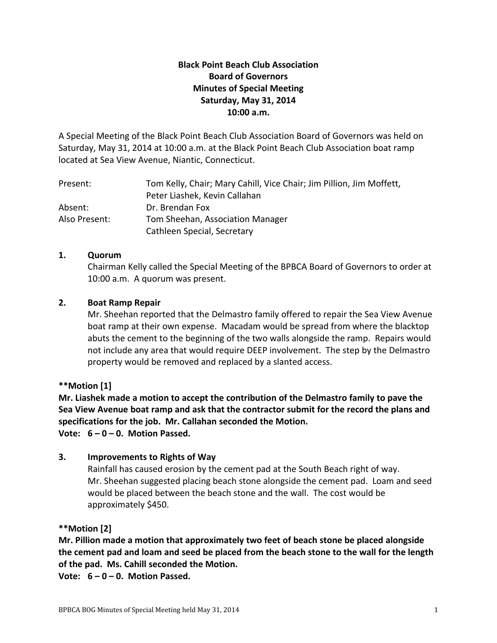# **Black Point Beach Club Association Board of Governors Minutes of Special Meeting Saturday, May 31, 2014 10:00 a.m.**

A Special Meeting of the Black Point Beach Club Association Board of Governors was held on Saturday, May 31, 2014 at 10:00 a.m. at the Black Point Beach Club Association boat ramp located at Sea View Avenue, Niantic, Connecticut.

| Present:      | Tom Kelly, Chair; Mary Cahill, Vice Chair; Jim Pillion, Jim Moffett, |
|---------------|----------------------------------------------------------------------|
|               | Peter Liashek, Kevin Callahan                                        |
| Absent:       | Dr. Brendan Fox                                                      |
| Also Present: | Tom Sheehan, Association Manager                                     |
|               | Cathleen Special, Secretary                                          |

### **1. Quorum**

Chairman Kelly called the Special Meeting of the BPBCA Board of Governors to order at 10:00 a.m. A quorum was present.

### **2. Boat Ramp Repair**

Mr. Sheehan reported that the Delmastro family offered to repair the Sea View Avenue boat ramp at their own expense. Macadam would be spread from where the blacktop abuts the cement to the beginning of the two walls alongside the ramp. Repairs would not include any area that would require DEEP involvement. The step by the Delmastro property would be removed and replaced by a slanted access.

# **\*\*Motion [1]**

**Mr. Liashek made a motion to accept the contribution of the Delmastro family to pave the Sea View Avenue boat ramp and ask that the contractor submit for the record the plans and specifications for the job. Mr. Callahan seconded the Motion.**

**Vote: 6 – 0 – 0. Motion Passed.**

# **3. Improvements to Rights of Way**

Rainfall has caused erosion by the cement pad at the South Beach right of way. Mr. Sheehan suggested placing beach stone alongside the cement pad. Loam and seed would be placed between the beach stone and the wall. The cost would be approximately \$450.

# **\*\*Motion [2]**

**Mr. Pillion made a motion that approximately two feet of beach stone be placed alongside the cement pad and loam and seed be placed from the beach stone to the wall for the length of the pad. Ms. Cahill seconded the Motion.**

**Vote: 6 – 0 – 0. Motion Passed.**